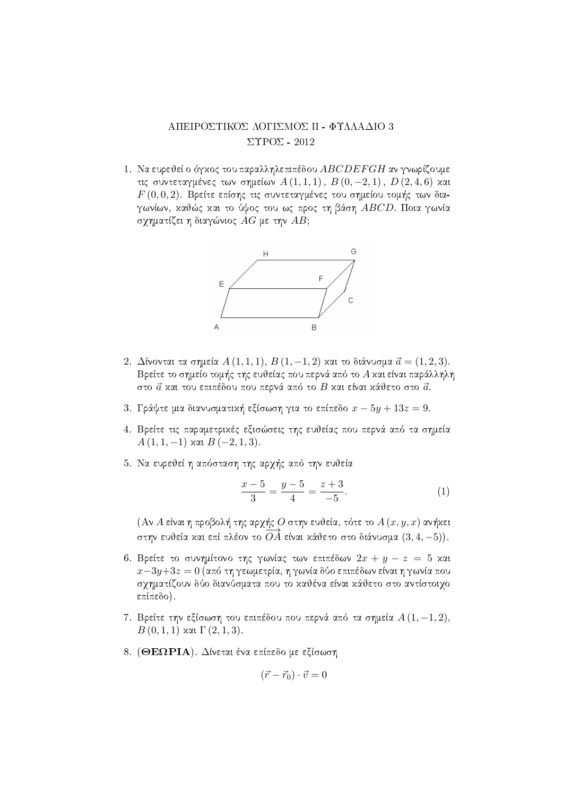## ΑΠΕΙΡΟΣΤΙΚΟΣ ΛΟΓΙΣΜΟΣ ΙΙ - ΦΥΛΛΑΔΙΟ 3  $\Sigma$ YPO $\Sigma$  - 2012

1. Να ευρεθεί ο όγκος του παραλληλεπιπέδου ABCDEFGH αν γνωρίζουμε τις συντεταγμένες των σημείων  $A(1,1,1), B(0,-2,1), D(2,4,6)$  και  $F(0,0,2)$ . Βρείτε επίσης τις συντεταγμένες του σημείου τομής των διαγωνίων, καθώς και το ύψος του ως προς τη βάση ABCD. Ποια γωνία σχηματίζει η διαγώνιος  $AG$  με την  $AB$ ;



- 2. Δίνονται τα σημεία  $A(1,1,1), B(1,-1,2)$  και το διάνυσμα  $\vec{a} = (1,2,3)$ . Βρείτε το σημείο τομής της ευθείας που περνά από το Α και είναι παράλληλη στο  $\vec{a}$  και του επιπέδου που περνά από το  $B$  και είναι κάθετο στο  $\vec{a}$ .
- 3. Γράψτε μια διανυσματιχή εξίσωση για το επίπεδο  $x 5y + 13z = 9$ .
- 4. Βρείτε τις παραμετριχές εξισώσεις της ευθείας που περνά από τα σημεία  $A(1,1,-1)$  xai  $B(-2,1,3)$ .
- 5. Να ευρεθεί η απόσταση της αρχής από την ευθεία

$$
\frac{x-5}{3} = \frac{y-5}{4} = \frac{z+3}{-5}.
$$
 (1)

(Αν Α είναι η προβολή της αρχής Ο στην ευθεία, τότε το  $A(x, y, x)$  ανήκει στην ευθεία και επί πλέον το  $\overrightarrow{OA}$  είναι κάθετο στο διάνυσμα  $(3,4,-5)$ ).

- 6. Βρείτε το συνημίτονο της γωνίας των επιπέδων  $2x + y z = 5$  χαι  $x-3y+3z=0$  (από τη γεωμετρία, η γωνία δύο επιπέδων είναι η γωνία που σγηματίζουν δύο διανύσματα που το καθένα είναι κάθετο στο αντίστοιγο επίπεδο).
- 7. Βρείτε την εξίσωση του επιπέδου που περνά από τα σημεία  $A(1,-1,2)$ ,  $B(0,1,1)$  και Γ(2,1,3).
- 8. (ΘΕΩΡΙΑ). Δίνεται ένα επίπεδο με εξίσωση

$$
(\vec{r} - \vec{r}_0) \cdot \vec{v} = 0
$$